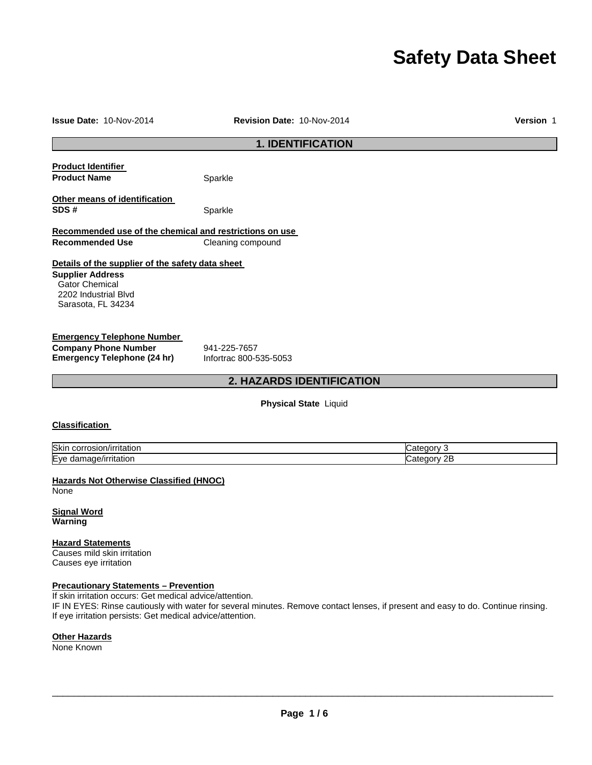# **Safety Data Sheet**

| Issue Date: 10-Nov-2014                                                                                                                                               | Revision Date: 10-Nov-2014             | Version 1                                                                                                                        |
|-----------------------------------------------------------------------------------------------------------------------------------------------------------------------|----------------------------------------|----------------------------------------------------------------------------------------------------------------------------------|
|                                                                                                                                                                       | <b>1. IDENTIFICATION</b>               |                                                                                                                                  |
| <b>Product Identifier</b><br><b>Product Name</b>                                                                                                                      | Sparkle                                |                                                                                                                                  |
| Other means of identification<br>SDS#                                                                                                                                 | Sparkle                                |                                                                                                                                  |
| Recommended use of the chemical and restrictions on use<br><b>Recommended Use</b>                                                                                     | Cleaning compound                      |                                                                                                                                  |
| Details of the supplier of the safety data sheet<br><b>Supplier Address</b><br><b>Gator Chemical</b><br>2202 Industrial Blvd<br>Sarasota, FL 34234                    |                                        |                                                                                                                                  |
| <b>Emergency Telephone Number</b><br><b>Company Phone Number</b><br><b>Emergency Telephone (24 hr)</b>                                                                | 941-225-7657<br>Infortrac 800-535-5053 |                                                                                                                                  |
|                                                                                                                                                                       | 2. HAZARDS IDENTIFICATION              |                                                                                                                                  |
|                                                                                                                                                                       | <b>Physical State Liquid</b>           |                                                                                                                                  |
| <b>Classification</b>                                                                                                                                                 |                                        |                                                                                                                                  |
| Skin corrosion/irritation<br>Eye damage/irritation                                                                                                                    |                                        | Category 3<br>Category 2B                                                                                                        |
| <b>Hazards Not Otherwise Classified (HNOC)</b><br>None                                                                                                                |                                        |                                                                                                                                  |
| <b>Signal Word</b><br>Warning                                                                                                                                         |                                        |                                                                                                                                  |
| <b>Hazard Statements</b><br>Causes mild skin irritation<br>Causes eye irritation                                                                                      |                                        |                                                                                                                                  |
| <b>Precautionary Statements - Prevention</b><br>If skin irritation occurs: Get medical advice/attention.<br>If eye irritation persists: Get medical advice/attention. |                                        | IF IN EYES: Rinse cautiously with water for several minutes. Remove contact lenses, if present and easy to do. Continue rinsing. |
| <b>Other Hazards</b>                                                                                                                                                  |                                        |                                                                                                                                  |

None Known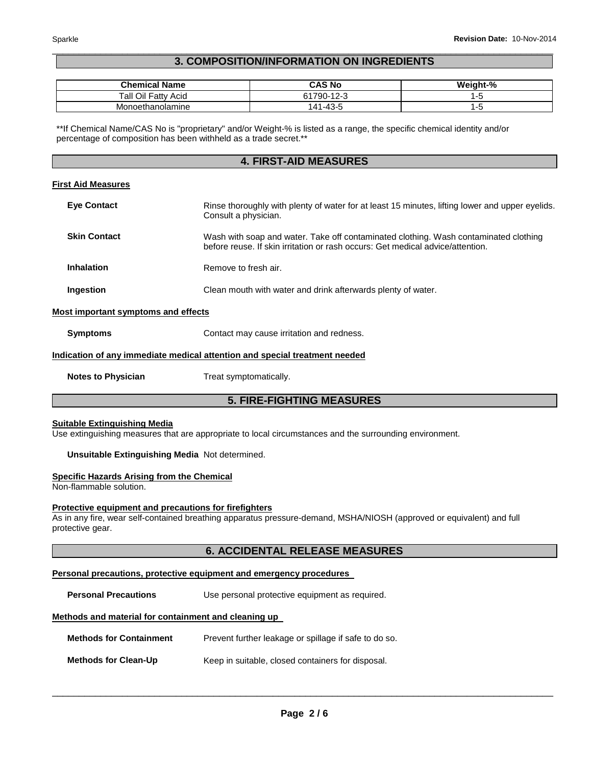# \_\_\_\_\_\_\_\_\_\_\_\_\_\_\_\_\_\_\_\_\_\_\_\_\_\_\_\_\_\_\_\_\_\_\_\_\_\_\_\_\_\_\_\_\_\_\_\_\_\_\_\_\_\_\_\_\_\_\_\_\_\_\_\_\_\_\_\_\_\_\_\_\_\_\_\_\_\_\_\_\_\_\_\_\_\_\_\_\_\_\_\_\_ **3. COMPOSITION/INFORMATION ON INGREDIENTS**

| <b>Chemical Name</b>       | CAS No                                         | <b>We</b><br>.iaht-% |
|----------------------------|------------------------------------------------|----------------------|
| Tall Oil<br>Acid<br>∵⊢atty | $1790 - 1$<br>$\sqrt{2}$<br>.Z-                |                      |
| pnoethanolamine<br>'VI\    | $\Lambda$ $\Omega$ $\Gamma$<br>$\overline{41}$ |                      |

\*\*If Chemical Name/CAS No is "proprietary" and/or Weight-% is listed as a range, the specific chemical identity and/or percentage of composition has been withheld as a trade secret.\*\*

# **4. FIRST-AID MEASURES**

#### **First Aid Measures**

| <b>Eye Contact</b>  | Rinse thoroughly with plenty of water for at least 15 minutes, lifting lower and upper eyelids.<br>Consult a physician.                                                |
|---------------------|------------------------------------------------------------------------------------------------------------------------------------------------------------------------|
| <b>Skin Contact</b> | Wash with soap and water. Take off contaminated clothing. Wash contaminated clothing<br>before reuse. If skin irritation or rash occurs: Get medical advice/attention. |
| <b>Inhalation</b>   | Remove to fresh air.                                                                                                                                                   |
| Ingestion           | Clean mouth with water and drink afterwards plenty of water.                                                                                                           |

#### **Most important symptoms and effects**

**Symptoms Contact may cause irritation and redness.** 

# **Indication of any immediate medical attention and special treatment needed**

**Notes to Physician**  Treat symptomatically.

# **5. FIRE-FIGHTING MEASURES**

#### **Suitable Extinguishing Media**

Use extinguishing measures that are appropriate to local circumstances and the surrounding environment.

# **Unsuitable Extinguishing Media** Not determined.

# **Specific Hazards Arising from the Chemical**

Non-flammable solution.

# **Protective equipment and precautions for firefighters**

As in any fire, wear self-contained breathing apparatus pressure-demand, MSHA/NIOSH (approved or equivalent) and full protective gear.

# **6. ACCIDENTAL RELEASE MEASURES**

# **Personal precautions, protective equipment and emergency procedures**

**Personal Precautions Use personal protective equipment as required.** 

#### **Methods and material for containment and cleaning up**

| <b>Methods for Containment</b> | Prevent further leakage or spillage if safe to do so. |  |
|--------------------------------|-------------------------------------------------------|--|
| <b>Methods for Clean-Up</b>    | Keep in suitable, closed containers for disposal.     |  |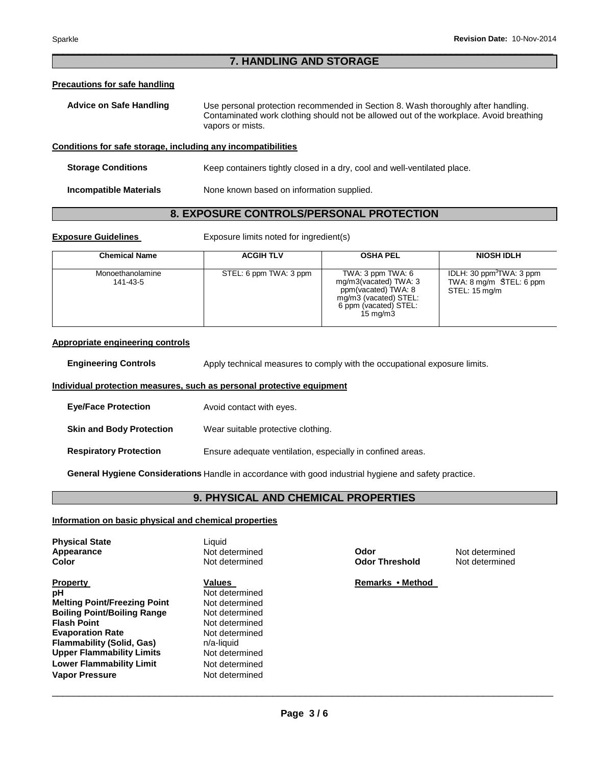# \_\_\_\_\_\_\_\_\_\_\_\_\_\_\_\_\_\_\_\_\_\_\_\_\_\_\_\_\_\_\_\_\_\_\_\_\_\_\_\_\_\_\_\_\_\_\_\_\_\_\_\_\_\_\_\_\_\_\_\_\_\_\_\_\_\_\_\_\_\_\_\_\_\_\_\_\_\_\_\_\_\_\_\_\_\_\_\_\_\_\_\_\_ **7. HANDLING AND STORAGE**

# **Precautions for safe handling**

| Advice on Safe Handling | Use personal protection recommended in Section 8. Wash thoroughly after handling.      |
|-------------------------|----------------------------------------------------------------------------------------|
|                         | Contaminated work clothing should not be allowed out of the workplace. Avoid breathing |
|                         | vapors or mists.                                                                       |

# **Conditions for safe storage, including any incompatibilities**

**Storage Conditions Keep containers tightly closed in a dry, cool and well-ventilated place.** 

**Incompatible Materials** None known based on information supplied.

# **8. EXPOSURE CONTROLS/PERSONAL PROTECTION**

**Exposure Guidelines Exposure limits noted for ingredient(s)** 

| <b>Chemical Name</b>         | <b>ACGIH TLV</b>       | <b>OSHA PEL</b>                                                                                                                                 | <b>NIOSH IDLH</b>                                                                          |
|------------------------------|------------------------|-------------------------------------------------------------------------------------------------------------------------------------------------|--------------------------------------------------------------------------------------------|
| Monoethanolamine<br>141-43-5 | STEL: 6 ppm TWA: 3 ppm | TWA: $3$ ppm TWA: $6$<br>mg/m3(vacated) TWA: 3<br>ppm(vacated) TWA: 8<br>mg/m3 (vacated) STEL:<br>6 ppm (vacated) STEL:<br>$15 \,\mathrm{mq/m}$ | IDLH: $30 \text{ ppm}^3$ TWA: $3 \text{ ppm}$<br>TWA: 8 mg/m \$TEL: 6 ppm<br>STEL: 15 mg/m |

# **Appropriate engineering controls**

**Engineering Controls Apply technical measures to comply with the occupational exposure limits.** 

# **Individual protection measures, such as personal protective equipment**

| <b>Eye/Face Protection</b>      | Avoid contact with eyes.                                   |
|---------------------------------|------------------------------------------------------------|
| <b>Skin and Body Protection</b> | Wear suitable protective clothing.                         |
| <b>Respiratory Protection</b>   | Ensure adequate ventilation, especially in confined areas. |

**General Hygiene Considerations** Handle in accordance with good industrial hygiene and safety practice.

# **9. PHYSICAL AND CHEMICAL PROPERTIES**

# **Information on basic physical and chemical properties**

| <b>Physical State</b>               | Liquid         |
|-------------------------------------|----------------|
| Appearance                          | Not determined |
| Color                               | Not determined |
|                                     |                |
| <b>Property</b>                     | <b>Values</b>  |
| рH                                  | Not determined |
| <b>Melting Point/Freezing Point</b> | Not determined |
| <b>Boiling Point/Boiling Range</b>  | Not determined |
| <b>Flash Point</b>                  | Not determined |
| <b>Evaporation Rate</b>             | Not determined |
| <b>Flammability (Solid, Gas)</b>    | n/a-liquid     |
| <b>Upper Flammability Limits</b>    | Not determined |
| <b>Lower Flammability Limit</b>     | Not determined |
| <b>Vapor Pressure</b>               | Not determined |

**Apple Therefore End Codor<br>
<b>A** Post determined<br> **A** Not determined **Color Threshold** 

**Remarks • Method**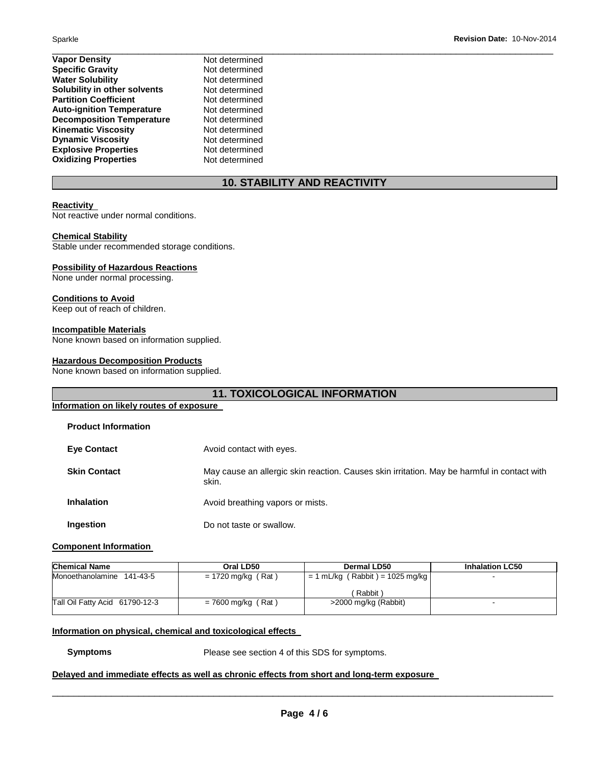| Not determined |  |
|----------------|--|
| Not determined |  |
| Not determined |  |
| Not determined |  |
| Not determined |  |
| Not determined |  |
| Not determined |  |
| Not determined |  |
| Not determined |  |
| Not determined |  |
| Not determined |  |
|                |  |

# **10. STABILITY AND REACTIVITY**

# **Reactivity**

Not reactive under normal conditions.

# **Chemical Stability**

Stable under recommended storage conditions.

#### **Possibility of Hazardous Reactions**

None under normal processing.

# **Conditions to Avoid**

Keep out of reach of children.

# **Incompatible Materials**

None known based on information supplied.

# **Hazardous Decomposition Products**

None known based on information supplied.

| <b>11. TOXICOLOGICAL INFORMATION</b> |                                                                                                      |  |  |  |
|--------------------------------------|------------------------------------------------------------------------------------------------------|--|--|--|
|                                      | Information on likely routes of exposure                                                             |  |  |  |
| <b>Product Information</b>           |                                                                                                      |  |  |  |
| <b>Eye Contact</b>                   | Avoid contact with eyes.                                                                             |  |  |  |
| <b>Skin Contact</b>                  | May cause an allergic skin reaction. Causes skin irritation. May be harmful in contact with<br>skin. |  |  |  |
| <b>Inhalation</b>                    | Avoid breathing vapors or mists.                                                                     |  |  |  |
| Ingestion                            | Do not taste or swallow.                                                                             |  |  |  |

# **Component Information**

| <b>Chemical Name</b>           | Oral LD50            | Dermal LD50                       | <b>Inhalation LC50</b> |
|--------------------------------|----------------------|-----------------------------------|------------------------|
| Monoethanolamine 141-43-5      | $= 1720$ mg/kg (Rat) | $= 1$ mL/kg (Rabbit) = 1025 mg/kg | -                      |
|                                |                      | Rabbit)                           |                        |
| Tall Oil Fatty Acid 61790-12-3 | $= 7600$ mg/kg (Rat) | >2000 mg/kg (Rabbit)              | -                      |

#### **Information on physical, chemical and toxicological effects**

**Symptoms** Please see section 4 of this SDS for symptoms.

# **Delayed and immediate effects as well as chronic effects from short and long-term exposure**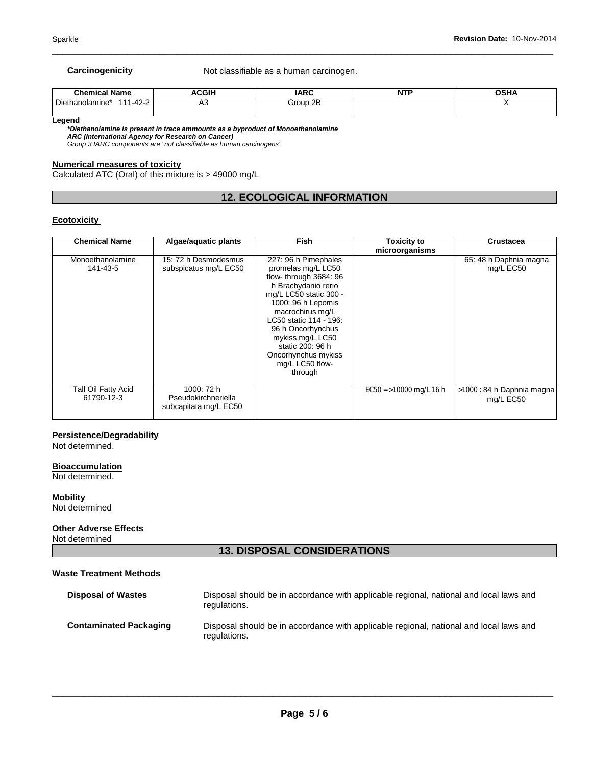**Carcinogenicity Not classifiable as a human carcinogen.** 

| <b>Chemical Name</b>                   | <b>ACGIH</b> | <b>IARC</b><br>$\sim$ | <b>NTF</b> | <b>OSHA</b> |
|----------------------------------------|--------------|-----------------------|------------|-------------|
| $1 - 42 - 2$<br>Diethanolamine*<br>444 | ่∼           | Group 2B              |            |             |

\_\_\_\_\_\_\_\_\_\_\_\_\_\_\_\_\_\_\_\_\_\_\_\_\_\_\_\_\_\_\_\_\_\_\_\_\_\_\_\_\_\_\_\_\_\_\_\_\_\_\_\_\_\_\_\_\_\_\_\_\_\_\_\_\_\_\_\_\_\_\_\_\_\_\_\_\_\_\_\_\_\_\_\_\_\_\_\_\_\_\_\_\_

**Legend** 

*\*Diethanolamine is present in trace ammounts as a byproduct of Monoethanolamine* 

*ARC (International Agency for Research on Cancer) Group 3 IARC components are "not classifiable as human carcinogens"* 

# **Numerical measures of toxicity**

Calculated ATC (Oral) of this mixture is > 49000 mg/L

# **12. ECOLOGICAL INFORMATION**

# **Ecotoxicity**

| <b>Chemical Name</b>              | Algae/aquatic plants                                       | <b>Fish</b>                                                                                                                                                                                                                                                                                                | <b>Toxicity to</b>       | <b>Crustacea</b>                        |
|-----------------------------------|------------------------------------------------------------|------------------------------------------------------------------------------------------------------------------------------------------------------------------------------------------------------------------------------------------------------------------------------------------------------------|--------------------------|-----------------------------------------|
|                                   |                                                            |                                                                                                                                                                                                                                                                                                            | microorganisms           |                                         |
| Monoethanolamine<br>141-43-5      | 15: 72 h Desmodesmus<br>subspicatus mg/L EC50              | 227: 96 h Pimephales<br>promelas mg/L LC50<br>flow-through 3684: 96<br>h Brachydanio rerio<br>mg/L LC50 static 300 -<br>1000: 96 h Lepomis<br>macrochirus mg/L<br>LC50 static 114 - 196:<br>96 h Oncorhynchus<br>mykiss mg/L LC50<br>static 200: 96 h<br>Oncorhynchus mykiss<br>mg/L LC50 flow-<br>through |                          | 65: 48 h Daphnia magna<br>mg/L EC50     |
| Tall Oil Fatty Acid<br>61790-12-3 | 1000: 72 h<br>Pseudokirchneriella<br>subcapitata mg/L EC50 |                                                                                                                                                                                                                                                                                                            | $EC50 = 10000$ mg/L 16 h | >1000 : 84 h Daphnia magna<br>mg/L EC50 |

# **Persistence/Degradability**

Not determined.

#### **Bioaccumulation**

Not determined.

**Mobility**

Not determined

# **Other Adverse Effects**

Not determined

# **13. DISPOSAL CONSIDERATIONS**

# **Waste Treatment Methods**

| <b>Disposal of Wastes</b>     | Disposal should be in accordance with applicable regional, national and local laws and<br>regulations. |
|-------------------------------|--------------------------------------------------------------------------------------------------------|
| <b>Contaminated Packaging</b> | Disposal should be in accordance with applicable regional, national and local laws and<br>regulations. |